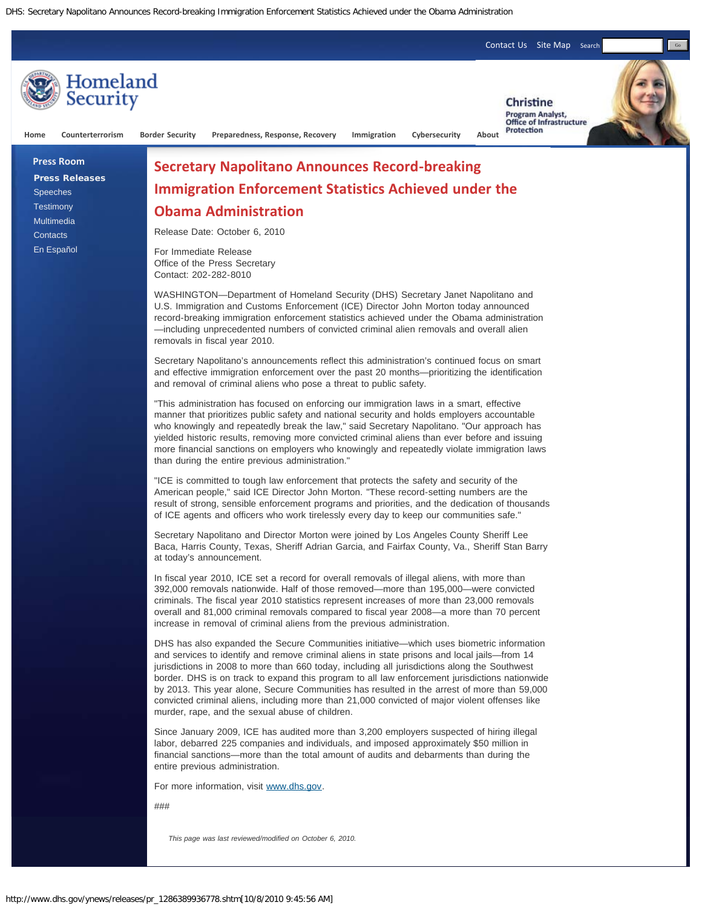DHS: Secretary Napolitano Announces Record-breaking Immigration Enforcement Statistics Achieved under the Obama Administration



"This administration has focused on enforcing our immigration laws in a smart, effective manner that prioritizes public safety and national security and holds employers accountable who knowingly and repeatedly break the law," said Secretary Napolitano. "Our approach has yielded historic results, removing more convicted criminal aliens than ever before and issuing more financial sanctions on employers who knowingly and repeatedly violate immigration laws than during the entire previous administration."

"ICE is committed to tough law enforcement that protects the safety and security of the American people," said ICE Director John Morton. "These record-setting numbers are the result of strong, sensible enforcement programs and priorities, and the dedication of thousands of ICE agents and officers who work tirelessly every day to keep our communities safe."

Secretary Napolitano and Director Morton were joined by Los Angeles County Sheriff Lee Baca, Harris County, Texas, Sheriff Adrian Garcia, and Fairfax County, Va., Sheriff Stan Barry at today's announcement.

In fiscal year 2010, ICE set a record for overall removals of illegal aliens, with more than 392,000 removals nationwide. Half of those removed—more than 195,000—were convicted criminals. The fiscal year 2010 statistics represent increases of more than 23,000 removals overall and 81,000 criminal removals compared to fiscal year 2008—a more than 70 percent increase in removal of criminal aliens from the previous administration.

DHS has also expanded the Secure Communities initiative—which uses biometric information and services to identify and remove criminal aliens in state prisons and local jails—from 14 jurisdictions in 2008 to more than 660 today, including all jurisdictions along the Southwest border. DHS is on track to expand this program to all law enforcement jurisdictions nationwide by 2013. This year alone, Secure Communities has resulted in the arrest of more than 59,000 convicted criminal aliens, including more than 21,000 convicted of major violent offenses like murder, rape, and the sexual abuse of children.

Since January 2009, ICE has audited more than 3,200 employers suspected of hiring illegal labor, debarred 225 companies and individuals, and imposed approximately \$50 million in financial sanctions—more than the total amount of audits and debarments than during the entire previous administration.

For more information, visit [www.dhs.gov.](http://www.dhs.gov/)

###

*This page was last reviewed/modified on October 6, 2010.*